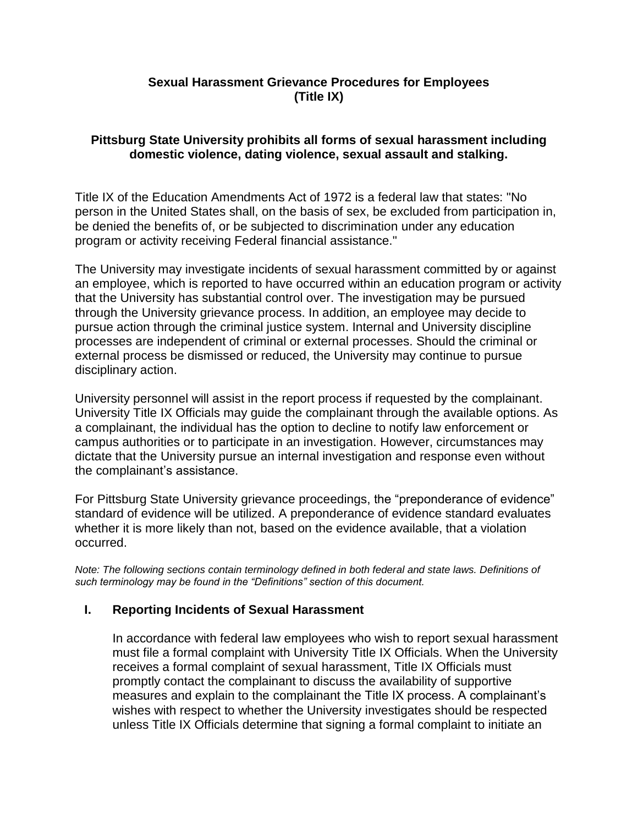# **Sexual Harassment Grievance Procedures for Employees (Title IX)**

# **Pittsburg State University prohibits all forms of sexual harassment including domestic violence, dating violence, sexual assault and stalking.**

Title IX of the Education Amendments Act of 1972 is a federal law that states: "No person in the United States shall, on the basis of sex, be excluded from participation in, be denied the benefits of, or be subjected to discrimination under any education program or activity receiving Federal financial assistance."

The University may investigate incidents of sexual harassment committed by or against an employee, which is reported to have occurred within an education program or activity that the University has substantial control over. The investigation may be pursued through the University grievance process. In addition, an employee may decide to pursue action through the criminal justice system. Internal and University discipline processes are independent of criminal or external processes. Should the criminal or external process be dismissed or reduced, the University may continue to pursue disciplinary action.

University personnel will assist in the report process if requested by the complainant. University Title IX Officials may guide the complainant through the available options. As a complainant, the individual has the option to decline to notify law enforcement or campus authorities or to participate in an investigation. However, circumstances may dictate that the University pursue an internal investigation and response even without the complainant's assistance.

For Pittsburg State University grievance proceedings, the "preponderance of evidence" standard of evidence will be utilized. A preponderance of evidence standard evaluates whether it is more likely than not, based on the evidence available, that a violation occurred.

*Note: The following sections contain terminology defined in both federal and state laws. Definitions of such terminology may be found in the "Definitions" section of this document.*

# **I. Reporting Incidents of Sexual Harassment**

In accordance with federal law employees who wish to report sexual harassment must file a formal complaint with University Title IX Officials. When the University receives a formal complaint of sexual harassment, Title IX Officials must promptly contact the complainant to discuss the availability of supportive measures and explain to the complainant the Title IX process. A complainant's wishes with respect to whether the University investigates should be respected unless Title IX Officials determine that signing a formal complaint to initiate an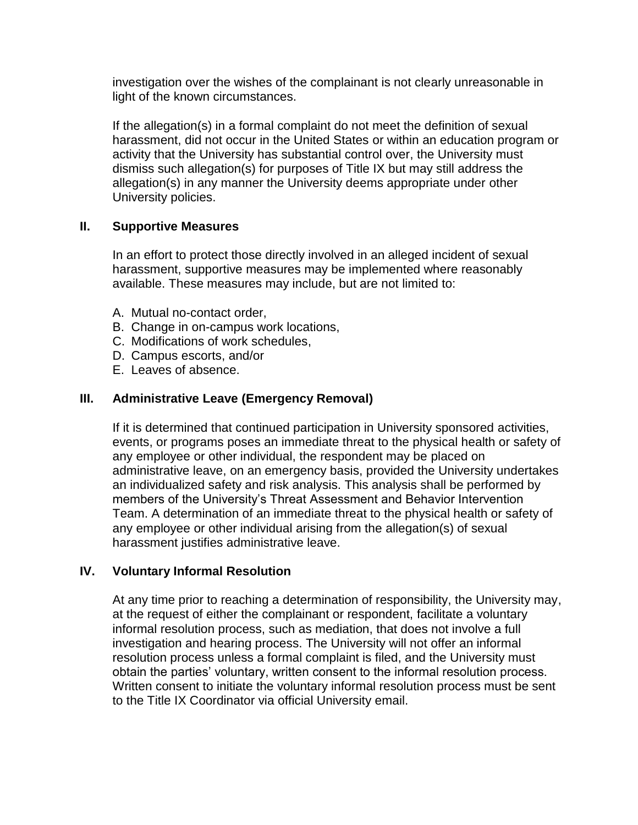investigation over the wishes of the complainant is not clearly unreasonable in light of the known circumstances.

If the allegation(s) in a formal complaint do not meet the definition of sexual harassment, did not occur in the United States or within an education program or activity that the University has substantial control over, the University must dismiss such allegation(s) for purposes of Title IX but may still address the allegation(s) in any manner the University deems appropriate under other University policies.

#### **II. Supportive Measures**

In an effort to protect those directly involved in an alleged incident of sexual harassment, supportive measures may be implemented where reasonably available. These measures may include, but are not limited to:

- A. Mutual no-contact order,
- B. Change in on-campus work locations,
- C. Modifications of work schedules,
- D. Campus escorts, and/or
- E. Leaves of absence.

## **III. Administrative Leave (Emergency Removal)**

If it is determined that continued participation in University sponsored activities, events, or programs poses an immediate threat to the physical health or safety of any employee or other individual, the respondent may be placed on administrative leave, on an emergency basis, provided the University undertakes an individualized safety and risk analysis. This analysis shall be performed by members of the University's Threat Assessment and Behavior Intervention Team. A determination of an immediate threat to the physical health or safety of any employee or other individual arising from the allegation(s) of sexual harassment justifies administrative leave.

## **IV. Voluntary Informal Resolution**

At any time prior to reaching a determination of responsibility, the University may, at the request of either the complainant or respondent, facilitate a voluntary informal resolution process, such as mediation, that does not involve a full investigation and hearing process. The University will not offer an informal resolution process unless a formal complaint is filed, and the University must obtain the parties' voluntary, written consent to the informal resolution process. Written consent to initiate the voluntary informal resolution process must be sent to the Title IX Coordinator via official University email.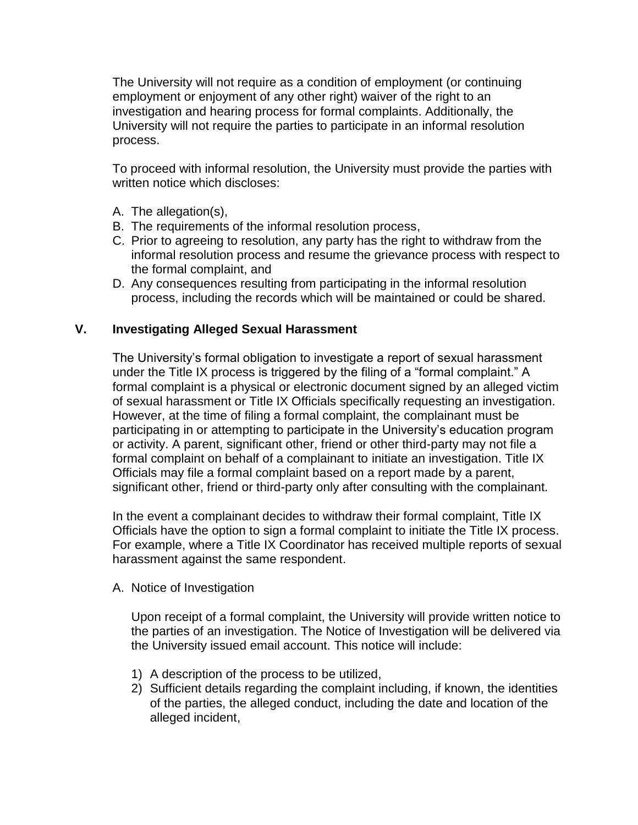The University will not require as a condition of employment (or continuing employment or enjoyment of any other right) waiver of the right to an investigation and hearing process for formal complaints. Additionally, the University will not require the parties to participate in an informal resolution process.

To proceed with informal resolution, the University must provide the parties with written notice which discloses:

- A. The allegation(s),
- B. The requirements of the informal resolution process,
- C. Prior to agreeing to resolution, any party has the right to withdraw from the informal resolution process and resume the grievance process with respect to the formal complaint, and
- D. Any consequences resulting from participating in the informal resolution process, including the records which will be maintained or could be shared.

## **V. Investigating Alleged Sexual Harassment**

The University's formal obligation to investigate a report of sexual harassment under the Title IX process is triggered by the filing of a "formal complaint." A formal complaint is a physical or electronic document signed by an alleged victim of sexual harassment or Title IX Officials specifically requesting an investigation. However, at the time of filing a formal complaint, the complainant must be participating in or attempting to participate in the University's education program or activity. A parent, significant other, friend or other third-party may not file a formal complaint on behalf of a complainant to initiate an investigation. Title IX Officials may file a formal complaint based on a report made by a parent, significant other, friend or third-party only after consulting with the complainant.

In the event a complainant decides to withdraw their formal complaint, Title IX Officials have the option to sign a formal complaint to initiate the Title IX process. For example, where a Title IX Coordinator has received multiple reports of sexual harassment against the same respondent.

A. Notice of Investigation

Upon receipt of a formal complaint, the University will provide written notice to the parties of an investigation. The Notice of Investigation will be delivered via the University issued email account. This notice will include:

- 1) A description of the process to be utilized,
- 2) Sufficient details regarding the complaint including, if known, the identities of the parties, the alleged conduct, including the date and location of the alleged incident,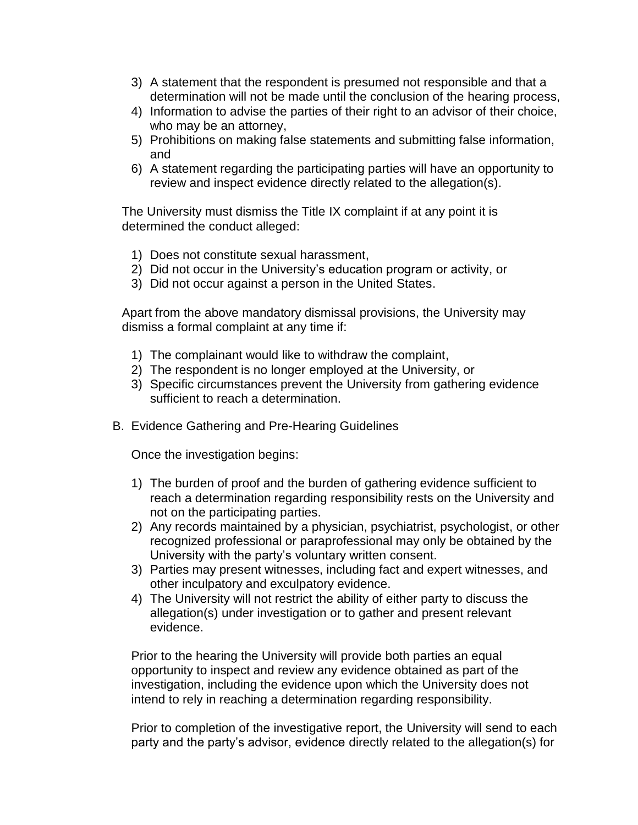- 3) A statement that the respondent is presumed not responsible and that a determination will not be made until the conclusion of the hearing process,
- 4) Information to advise the parties of their right to an advisor of their choice, who may be an attorney,
- 5) Prohibitions on making false statements and submitting false information, and
- 6) A statement regarding the participating parties will have an opportunity to review and inspect evidence directly related to the allegation(s).

The University must dismiss the Title IX complaint if at any point it is determined the conduct alleged:

- 1) Does not constitute sexual harassment,
- 2) Did not occur in the University's education program or activity, or
- 3) Did not occur against a person in the United States.

Apart from the above mandatory dismissal provisions, the University may dismiss a formal complaint at any time if:

- 1) The complainant would like to withdraw the complaint,
- 2) The respondent is no longer employed at the University, or
- 3) Specific circumstances prevent the University from gathering evidence sufficient to reach a determination.
- B. Evidence Gathering and Pre-Hearing Guidelines

Once the investigation begins:

- 1) The burden of proof and the burden of gathering evidence sufficient to reach a determination regarding responsibility rests on the University and not on the participating parties.
- 2) Any records maintained by a physician, psychiatrist, psychologist, or other recognized professional or paraprofessional may only be obtained by the University with the party's voluntary written consent.
- 3) Parties may present witnesses, including fact and expert witnesses, and other inculpatory and exculpatory evidence.
- 4) The University will not restrict the ability of either party to discuss the allegation(s) under investigation or to gather and present relevant evidence.

Prior to the hearing the University will provide both parties an equal opportunity to inspect and review any evidence obtained as part of the investigation, including the evidence upon which the University does not intend to rely in reaching a determination regarding responsibility.

Prior to completion of the investigative report, the University will send to each party and the party's advisor, evidence directly related to the allegation(s) for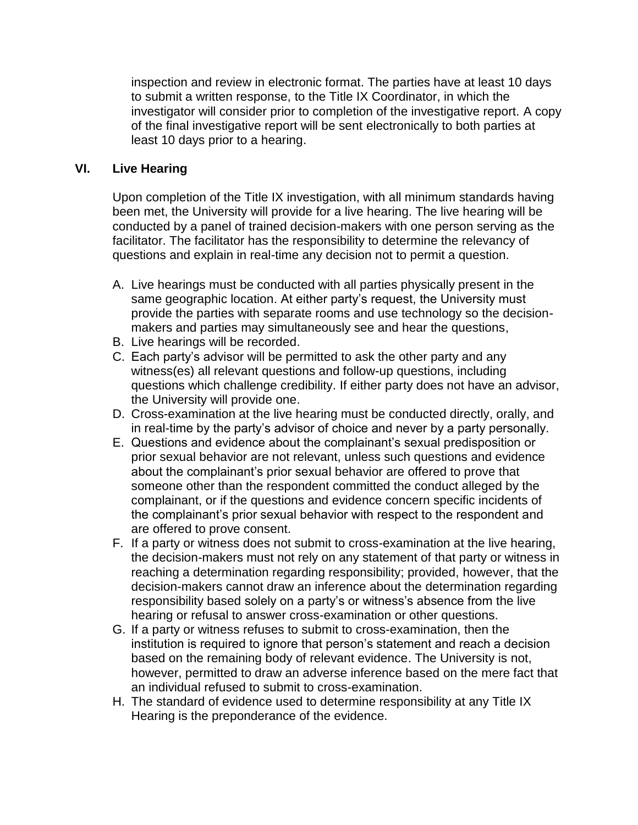inspection and review in electronic format. The parties have at least 10 days to submit a written response, to the Title IX Coordinator, in which the investigator will consider prior to completion of the investigative report. A copy of the final investigative report will be sent electronically to both parties at least 10 days prior to a hearing.

## **VI. Live Hearing**

Upon completion of the Title IX investigation, with all minimum standards having been met, the University will provide for a live hearing. The live hearing will be conducted by a panel of trained decision-makers with one person serving as the facilitator. The facilitator has the responsibility to determine the relevancy of questions and explain in real-time any decision not to permit a question.

- A. Live hearings must be conducted with all parties physically present in the same geographic location. At either party's request, the University must provide the parties with separate rooms and use technology so the decisionmakers and parties may simultaneously see and hear the questions,
- B. Live hearings will be recorded.
- C. Each party's advisor will be permitted to ask the other party and any witness(es) all relevant questions and follow-up questions, including questions which challenge credibility. If either party does not have an advisor, the University will provide one.
- D. Cross-examination at the live hearing must be conducted directly, orally, and in real-time by the party's advisor of choice and never by a party personally.
- E. Questions and evidence about the complainant's sexual predisposition or prior sexual behavior are not relevant, unless such questions and evidence about the complainant's prior sexual behavior are offered to prove that someone other than the respondent committed the conduct alleged by the complainant, or if the questions and evidence concern specific incidents of the complainant's prior sexual behavior with respect to the respondent and are offered to prove consent.
- F. If a party or witness does not submit to cross-examination at the live hearing, the decision-makers must not rely on any statement of that party or witness in reaching a determination regarding responsibility; provided, however, that the decision-makers cannot draw an inference about the determination regarding responsibility based solely on a party's or witness's absence from the live hearing or refusal to answer cross-examination or other questions.
- G. If a party or witness refuses to submit to cross-examination, then the institution is required to ignore that person's statement and reach a decision based on the remaining body of relevant evidence. The University is not, however, permitted to draw an adverse inference based on the mere fact that an individual refused to submit to cross-examination.
- H. The standard of evidence used to determine responsibility at any Title IX Hearing is the preponderance of the evidence.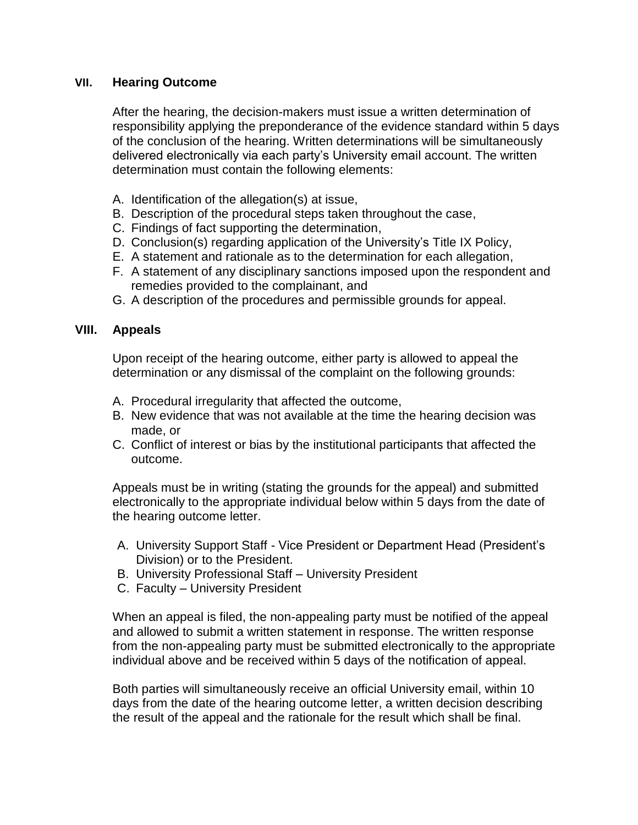#### **VII. Hearing Outcome**

After the hearing, the decision-makers must issue a written determination of responsibility applying the preponderance of the evidence standard within 5 days of the conclusion of the hearing. Written determinations will be simultaneously delivered electronically via each party's University email account. The written determination must contain the following elements:

- A. Identification of the allegation(s) at issue,
- B. Description of the procedural steps taken throughout the case,
- C. Findings of fact supporting the determination,
- D. Conclusion(s) regarding application of the University's Title IX Policy,
- E. A statement and rationale as to the determination for each allegation,
- F. A statement of any disciplinary sanctions imposed upon the respondent and remedies provided to the complainant, and
- G. A description of the procedures and permissible grounds for appeal.

#### **VIII. Appeals**

Upon receipt of the hearing outcome, either party is allowed to appeal the determination or any dismissal of the complaint on the following grounds:

- A. Procedural irregularity that affected the outcome,
- B. New evidence that was not available at the time the hearing decision was made, or
- C. Conflict of interest or bias by the institutional participants that affected the outcome.

Appeals must be in writing (stating the grounds for the appeal) and submitted electronically to the appropriate individual below within 5 days from the date of the hearing outcome letter.

- A. University Support Staff Vice President or Department Head (President's Division) or to the President.
- B. University Professional Staff University President
- C. Faculty University President

When an appeal is filed, the non-appealing party must be notified of the appeal and allowed to submit a written statement in response. The written response from the non-appealing party must be submitted electronically to the appropriate individual above and be received within 5 days of the notification of appeal.

Both parties will simultaneously receive an official University email, within 10 days from the date of the hearing outcome letter, a written decision describing the result of the appeal and the rationale for the result which shall be final.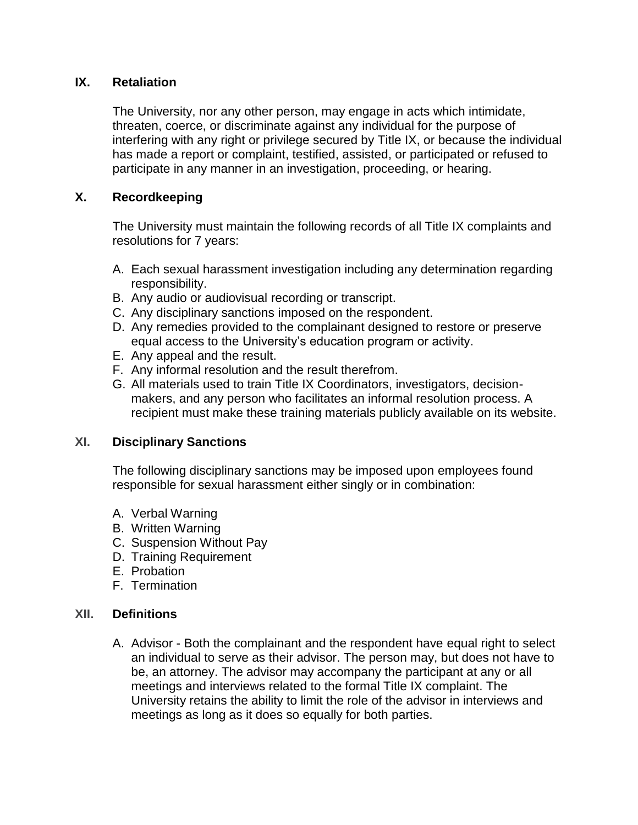## **IX. Retaliation**

The University, nor any other person, may engage in acts which intimidate, threaten, coerce, or discriminate against any individual for the purpose of interfering with any right or privilege secured by Title IX, or because the individual has made a report or complaint, testified, assisted, or participated or refused to participate in any manner in an investigation, proceeding, or hearing.

# **X. Recordkeeping**

The University must maintain the following records of all Title IX complaints and resolutions for 7 years:

- A. Each sexual harassment investigation including any determination regarding responsibility.
- B. Any audio or audiovisual recording or transcript.
- C. Any disciplinary sanctions imposed on the respondent.
- D. Any remedies provided to the complainant designed to restore or preserve equal access to the University's education program or activity.
- E. Any appeal and the result.
- F. Any informal resolution and the result therefrom.
- G. All materials used to train Title IX Coordinators, investigators, decisionmakers, and any person who facilitates an informal resolution process. A recipient must make these training materials publicly available on its website.

## **XI. Disciplinary Sanctions**

The following disciplinary sanctions may be imposed upon employees found responsible for sexual harassment either singly or in combination:

- A. Verbal Warning
- B. Written Warning
- C. Suspension Without Pay
- D. Training Requirement
- E. Probation
- F. Termination

## **XII. Definitions**

A. Advisor - Both the complainant and the respondent have equal right to select an individual to serve as their advisor. The person may, but does not have to be, an attorney. The advisor may accompany the participant at any or all meetings and interviews related to the formal Title IX complaint. The University retains the ability to limit the role of the advisor in interviews and meetings as long as it does so equally for both parties.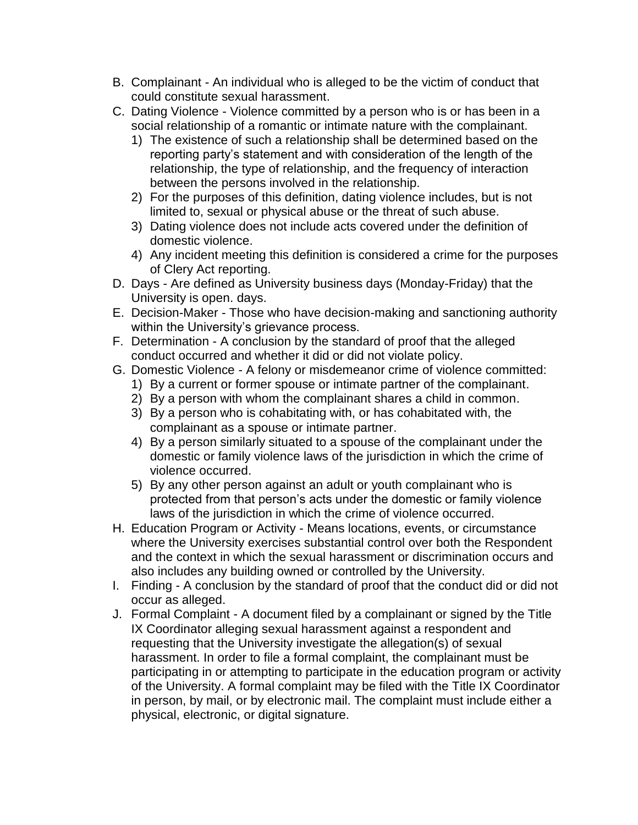- B. Complainant An individual who is alleged to be the victim of conduct that could constitute sexual harassment.
- C. Dating Violence Violence committed by a person who is or has been in a social relationship of a romantic or intimate nature with the complainant.
	- 1) The existence of such a relationship shall be determined based on the reporting party's statement and with consideration of the length of the relationship, the type of relationship, and the frequency of interaction between the persons involved in the relationship.
	- 2) For the purposes of this definition, dating violence includes, but is not limited to, sexual or physical abuse or the threat of such abuse.
	- 3) Dating violence does not include acts covered under the definition of domestic violence.
	- 4) Any incident meeting this definition is considered a crime for the purposes of Clery Act reporting.
- D. Days Are defined as University business days (Monday-Friday) that the University is open. days.
- E. Decision-Maker Those who have decision-making and sanctioning authority within the University's grievance process.
- F. Determination A conclusion by the standard of proof that the alleged conduct occurred and whether it did or did not violate policy.
- G. Domestic Violence A felony or misdemeanor crime of violence committed:
	- 1) By a current or former spouse or intimate partner of the complainant.
	- 2) By a person with whom the complainant shares a child in common.
	- 3) By a person who is cohabitating with, or has cohabitated with, the complainant as a spouse or intimate partner.
	- 4) By a person similarly situated to a spouse of the complainant under the domestic or family violence laws of the jurisdiction in which the crime of violence occurred.
	- 5) By any other person against an adult or youth complainant who is protected from that person's acts under the domestic or family violence laws of the jurisdiction in which the crime of violence occurred.
- H. Education Program or Activity Means locations, events, or circumstance where the University exercises substantial control over both the Respondent and the context in which the sexual harassment or discrimination occurs and also includes any building owned or controlled by the University.
- I. Finding A conclusion by the standard of proof that the conduct did or did not occur as alleged.
- J. Formal Complaint A document filed by a complainant or signed by the Title IX Coordinator alleging sexual harassment against a respondent and requesting that the University investigate the allegation(s) of sexual harassment. In order to file a formal complaint, the complainant must be participating in or attempting to participate in the education program or activity of the University. A formal complaint may be filed with the Title IX Coordinator in person, by mail, or by electronic mail. The complaint must include either a physical, electronic, or digital signature.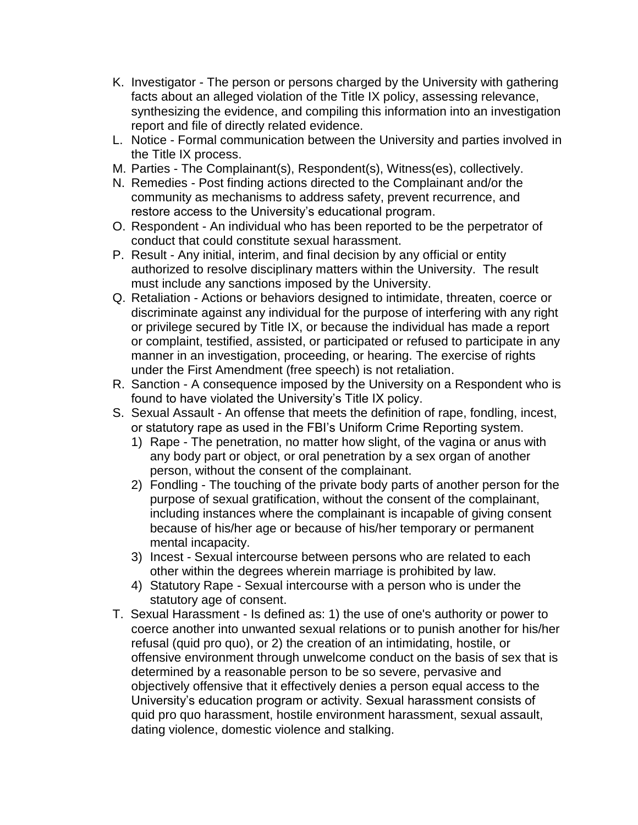- K. Investigator The person or persons charged by the University with gathering facts about an alleged violation of the Title IX policy, assessing relevance, synthesizing the evidence, and compiling this information into an investigation report and file of directly related evidence.
- L. Notice Formal communication between the University and parties involved in the Title IX process.
- M. Parties The Complainant(s), Respondent(s), Witness(es), collectively.
- N. Remedies Post finding actions directed to the Complainant and/or the community as mechanisms to address safety, prevent recurrence, and restore access to the University's educational program.
- O. Respondent An individual who has been reported to be the perpetrator of conduct that could constitute sexual harassment.
- P. Result Any initial, interim, and final decision by any official or entity authorized to resolve disciplinary matters within the University. The result must include any sanctions imposed by the University.
- Q. Retaliation Actions or behaviors designed to intimidate, threaten, coerce or discriminate against any individual for the purpose of interfering with any right or privilege secured by Title IX, or because the individual has made a report or complaint, testified, assisted, or participated or refused to participate in any manner in an investigation, proceeding, or hearing. The exercise of rights under the First Amendment (free speech) is not retaliation.
- R. Sanction A consequence imposed by the University on a Respondent who is found to have violated the University's Title IX policy.
- S. Sexual Assault An offense that meets the definition of rape, fondling, incest, or statutory rape as used in the FBI's Uniform Crime Reporting system.
	- 1) Rape The penetration, no matter how slight, of the vagina or anus with any body part or object, or oral penetration by a sex organ of another person, without the consent of the complainant.
	- 2) Fondling The touching of the private body parts of another person for the purpose of sexual gratification, without the consent of the complainant, including instances where the complainant is incapable of giving consent because of his/her age or because of his/her temporary or permanent mental incapacity.
	- 3) Incest Sexual intercourse between persons who are related to each other within the degrees wherein marriage is prohibited by law.
	- 4) Statutory Rape Sexual intercourse with a person who is under the statutory age of consent.
- T. Sexual Harassment Is defined as: 1) the use of one's authority or power to coerce another into unwanted sexual relations or to punish another for his/her refusal (quid pro quo), or 2) the creation of an intimidating, hostile, or offensive environment through unwelcome conduct on the basis of sex that is determined by a reasonable person to be so severe, pervasive and objectively offensive that it effectively denies a person equal access to the University's education program or activity. Sexual harassment consists of quid pro quo harassment, hostile environment harassment, sexual assault, dating violence, domestic violence and stalking.